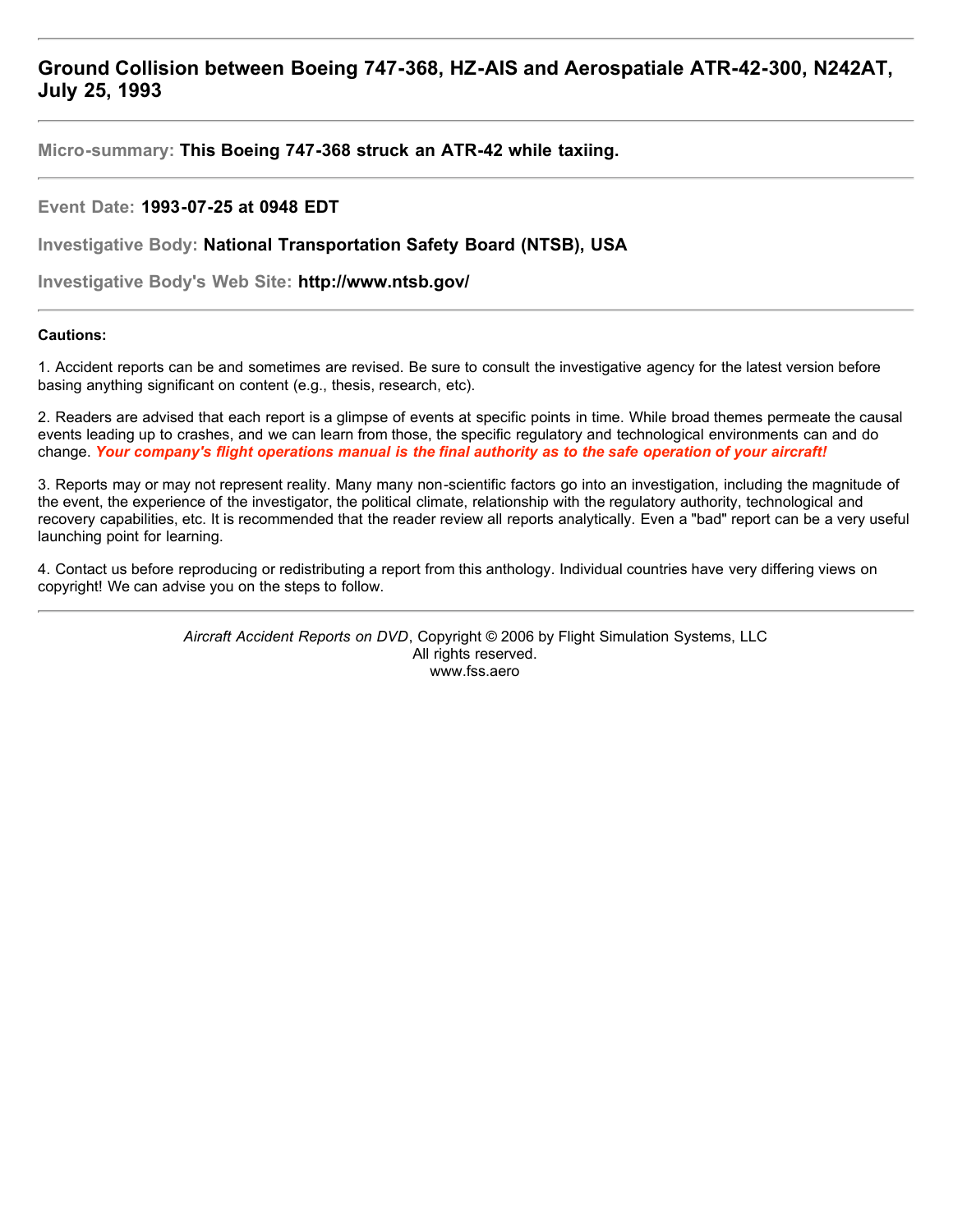# **Ground Collision between Boeing 747-368, HZ-AIS and Aerospatiale ATR-42-300, N242AT, July 25, 1993**

**Micro-summary: This Boeing 747-368 struck an ATR-42 while taxiing.**

# **Event Date: 1993-07-25 at 0948 EDT**

**Investigative Body: National Transportation Safety Board (NTSB), USA**

**Investigative Body's Web Site: http://www.ntsb.gov/**

# **Cautions:**

1. Accident reports can be and sometimes are revised. Be sure to consult the investigative agency for the latest version before basing anything significant on content (e.g., thesis, research, etc).

2. Readers are advised that each report is a glimpse of events at specific points in time. While broad themes permeate the causal events leading up to crashes, and we can learn from those, the specific regulatory and technological environments can and do change. *Your company's flight operations manual is the final authority as to the safe operation of your aircraft!*

3. Reports may or may not represent reality. Many many non-scientific factors go into an investigation, including the magnitude of the event, the experience of the investigator, the political climate, relationship with the regulatory authority, technological and recovery capabilities, etc. It is recommended that the reader review all reports analytically. Even a "bad" report can be a very useful launching point for learning.

4. Contact us before reproducing or redistributing a report from this anthology. Individual countries have very differing views on copyright! We can advise you on the steps to follow.

> *Aircraft Accident Reports on DVD*, Copyright © 2006 by Flight Simulation Systems, LLC All rights reserved. www.fss.aero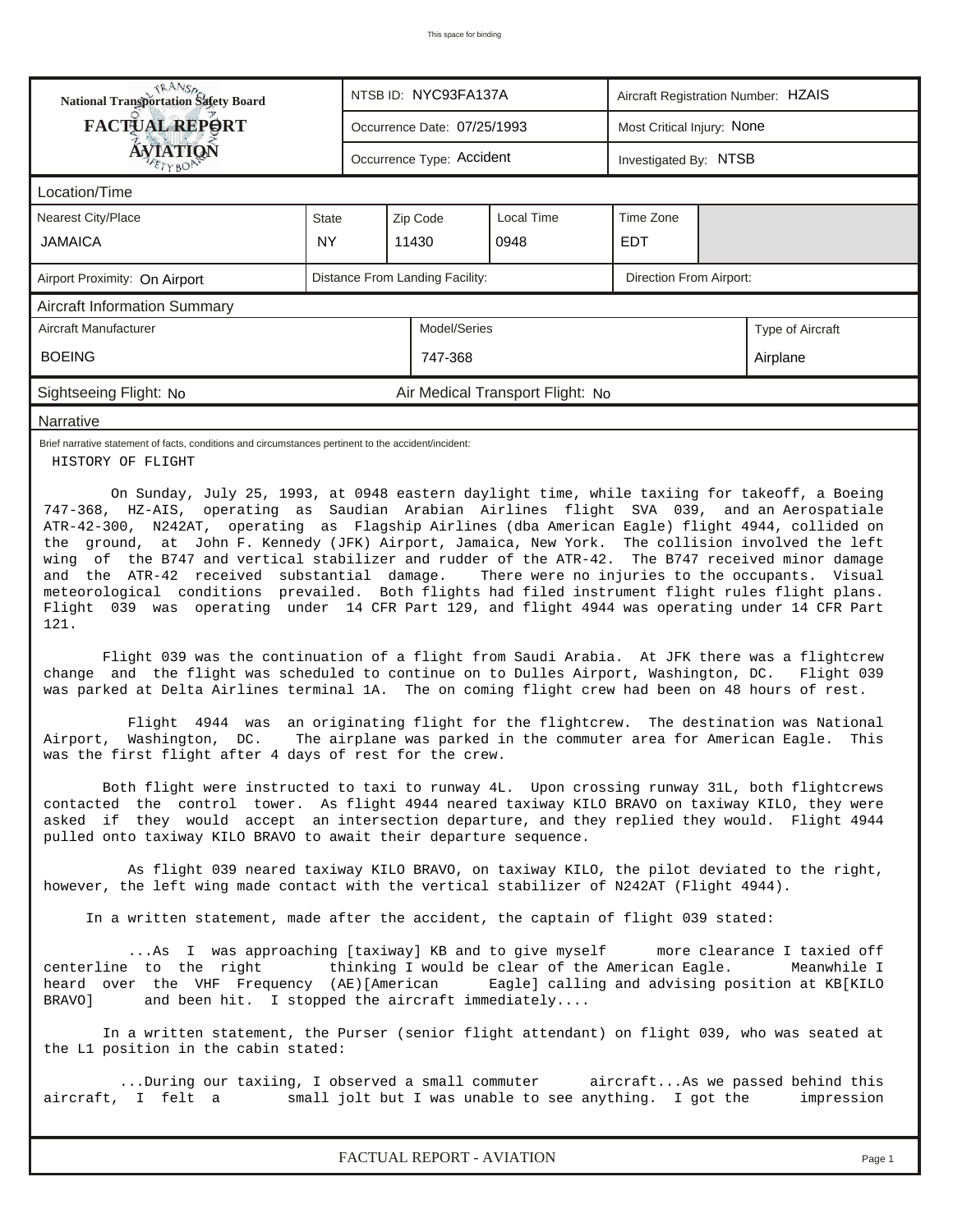| RANS <sub>P</sub> RANSP<br>National Transportation Safety Board                                                                                                                                                                                                                                                                                                                                                                                                                                                                                                                                                                                                                                                                                                                                                                                                                                                            |                                                                                                                                                                                                                                                                                                                                     |  | NTSB ID: NYC93FA137A            |                                  | Aircraft Registration Number: HZAIS |  |                  |  |  |  |
|----------------------------------------------------------------------------------------------------------------------------------------------------------------------------------------------------------------------------------------------------------------------------------------------------------------------------------------------------------------------------------------------------------------------------------------------------------------------------------------------------------------------------------------------------------------------------------------------------------------------------------------------------------------------------------------------------------------------------------------------------------------------------------------------------------------------------------------------------------------------------------------------------------------------------|-------------------------------------------------------------------------------------------------------------------------------------------------------------------------------------------------------------------------------------------------------------------------------------------------------------------------------------|--|---------------------------------|----------------------------------|-------------------------------------|--|------------------|--|--|--|
| <b>FACTUAL REPORT</b>                                                                                                                                                                                                                                                                                                                                                                                                                                                                                                                                                                                                                                                                                                                                                                                                                                                                                                      |                                                                                                                                                                                                                                                                                                                                     |  | Occurrence Date: 07/25/1993     |                                  | Most Critical Injury: None          |  |                  |  |  |  |
| ÁVIATION                                                                                                                                                                                                                                                                                                                                                                                                                                                                                                                                                                                                                                                                                                                                                                                                                                                                                                                   |                                                                                                                                                                                                                                                                                                                                     |  | Occurrence Type: Accident       |                                  | Investigated By: NTSB               |  |                  |  |  |  |
| Location/Time                                                                                                                                                                                                                                                                                                                                                                                                                                                                                                                                                                                                                                                                                                                                                                                                                                                                                                              |                                                                                                                                                                                                                                                                                                                                     |  |                                 |                                  |                                     |  |                  |  |  |  |
| Nearest City/Place                                                                                                                                                                                                                                                                                                                                                                                                                                                                                                                                                                                                                                                                                                                                                                                                                                                                                                         | State                                                                                                                                                                                                                                                                                                                               |  | Zip Code                        |                                  |                                     |  |                  |  |  |  |
| <b>JAMAICA</b>                                                                                                                                                                                                                                                                                                                                                                                                                                                                                                                                                                                                                                                                                                                                                                                                                                                                                                             | <b>NY</b>                                                                                                                                                                                                                                                                                                                           |  | 11430                           | 0948                             | <b>EDT</b>                          |  |                  |  |  |  |
| Airport Proximity: On Airport                                                                                                                                                                                                                                                                                                                                                                                                                                                                                                                                                                                                                                                                                                                                                                                                                                                                                              |                                                                                                                                                                                                                                                                                                                                     |  | Distance From Landing Facility: |                                  | Direction From Airport:             |  |                  |  |  |  |
| <b>Aircraft Information Summary</b>                                                                                                                                                                                                                                                                                                                                                                                                                                                                                                                                                                                                                                                                                                                                                                                                                                                                                        |                                                                                                                                                                                                                                                                                                                                     |  |                                 |                                  |                                     |  |                  |  |  |  |
| Aircraft Manufacturer                                                                                                                                                                                                                                                                                                                                                                                                                                                                                                                                                                                                                                                                                                                                                                                                                                                                                                      |                                                                                                                                                                                                                                                                                                                                     |  | Model/Series                    |                                  |                                     |  | Type of Aircraft |  |  |  |
| <b>BOEING</b>                                                                                                                                                                                                                                                                                                                                                                                                                                                                                                                                                                                                                                                                                                                                                                                                                                                                                                              |                                                                                                                                                                                                                                                                                                                                     |  | 747-368                         |                                  |                                     |  | Airplane         |  |  |  |
| Sightseeing Flight: No                                                                                                                                                                                                                                                                                                                                                                                                                                                                                                                                                                                                                                                                                                                                                                                                                                                                                                     |                                                                                                                                                                                                                                                                                                                                     |  |                                 | Air Medical Transport Flight: No |                                     |  |                  |  |  |  |
| Narrative                                                                                                                                                                                                                                                                                                                                                                                                                                                                                                                                                                                                                                                                                                                                                                                                                                                                                                                  |                                                                                                                                                                                                                                                                                                                                     |  |                                 |                                  |                                     |  |                  |  |  |  |
| Brief narrative statement of facts, conditions and circumstances pertinent to the accident/incident:<br>HISTORY OF FLIGHT                                                                                                                                                                                                                                                                                                                                                                                                                                                                                                                                                                                                                                                                                                                                                                                                  |                                                                                                                                                                                                                                                                                                                                     |  |                                 |                                  |                                     |  |                  |  |  |  |
| the ground, at John F. Kennedy (JFK) Airport, Jamaica, New York. The collision involved the left<br>wing of the B747 and vertical stabilizer and rudder of the ATR-42. The B747 received minor damage<br>and the ATR-42 received substantial damage.<br>There were no injuries to the occupants. Visual<br>meteorological conditions prevailed. Both flights had filed instrument flight rules flight plans.<br>Flight 039 was operating under 14 CFR Part 129, and flight 4944 was operating under 14 CFR Part<br>121.<br>Flight 039 was the continuation of a flight from Saudi Arabia. At JFK there was a flightcrew<br>change and the flight was scheduled to continue on to Dulles Airport, Washington, DC. Flight 039<br>was parked at Delta Airlines terminal 1A. The on coming flight crew had been on 48 hours of rest.<br>Flight 4944 was an originating flight for the flightcrew. The destination was National |                                                                                                                                                                                                                                                                                                                                     |  |                                 |                                  |                                     |  |                  |  |  |  |
| Airport, Washington, DC. The airplane was parked in the commuter area for American Eagle.<br>was the first flight after 4 days of rest for the crew.<br>Both flight were instructed to taxi to runway 4L. Upon crossing runway 31L, both flightcrews                                                                                                                                                                                                                                                                                                                                                                                                                                                                                                                                                                                                                                                                       |                                                                                                                                                                                                                                                                                                                                     |  |                                 |                                  |                                     |  | This             |  |  |  |
| contacted the control tower. As flight 4944 neared taxiway KILO BRAVO on taxiway KILO, they were<br>asked if they would accept an intersection departure, and they replied they would. Flight 4944<br>pulled onto taxiway KILO BRAVO to await their departure sequence.                                                                                                                                                                                                                                                                                                                                                                                                                                                                                                                                                                                                                                                    |                                                                                                                                                                                                                                                                                                                                     |  |                                 |                                  |                                     |  |                  |  |  |  |
|                                                                                                                                                                                                                                                                                                                                                                                                                                                                                                                                                                                                                                                                                                                                                                                                                                                                                                                            | As flight 039 neared taxiway KILO BRAVO, on taxiway KILO, the pilot deviated to the right,<br>however, the left wing made contact with the vertical stabilizer of N242AT (Flight 4944).                                                                                                                                             |  |                                 |                                  |                                     |  |                  |  |  |  |
| In a written statement, made after the accident, the captain of flight 039 stated:                                                                                                                                                                                                                                                                                                                                                                                                                                                                                                                                                                                                                                                                                                                                                                                                                                         |                                                                                                                                                                                                                                                                                                                                     |  |                                 |                                  |                                     |  |                  |  |  |  |
| BRAVO]                                                                                                                                                                                                                                                                                                                                                                                                                                                                                                                                                                                                                                                                                                                                                                                                                                                                                                                     | As I was approaching [taxiway] KB and to give myself<br>more clearance I taxied off<br>centerline to the right<br>thinking I would be clear of the American Eagle.<br>Meanwhile I<br>heard over the VHF Frequency (AE)[American Eagle] calling and advising position at KB[KILO<br>and been hit. I stopped the aircraft immediately |  |                                 |                                  |                                     |  |                  |  |  |  |
| In a written statement, the Purser (senior flight attendant) on flight 039, who was seated at<br>the L1 position in the cabin stated:                                                                                                                                                                                                                                                                                                                                                                                                                                                                                                                                                                                                                                                                                                                                                                                      |                                                                                                                                                                                                                                                                                                                                     |  |                                 |                                  |                                     |  |                  |  |  |  |
| During our taxiing, I observed a small commuter aircraftAs we passed behind this<br>aircraft, I felt a<br>small jolt but I was unable to see anything. I got the<br>impression                                                                                                                                                                                                                                                                                                                                                                                                                                                                                                                                                                                                                                                                                                                                             |                                                                                                                                                                                                                                                                                                                                     |  |                                 |                                  |                                     |  |                  |  |  |  |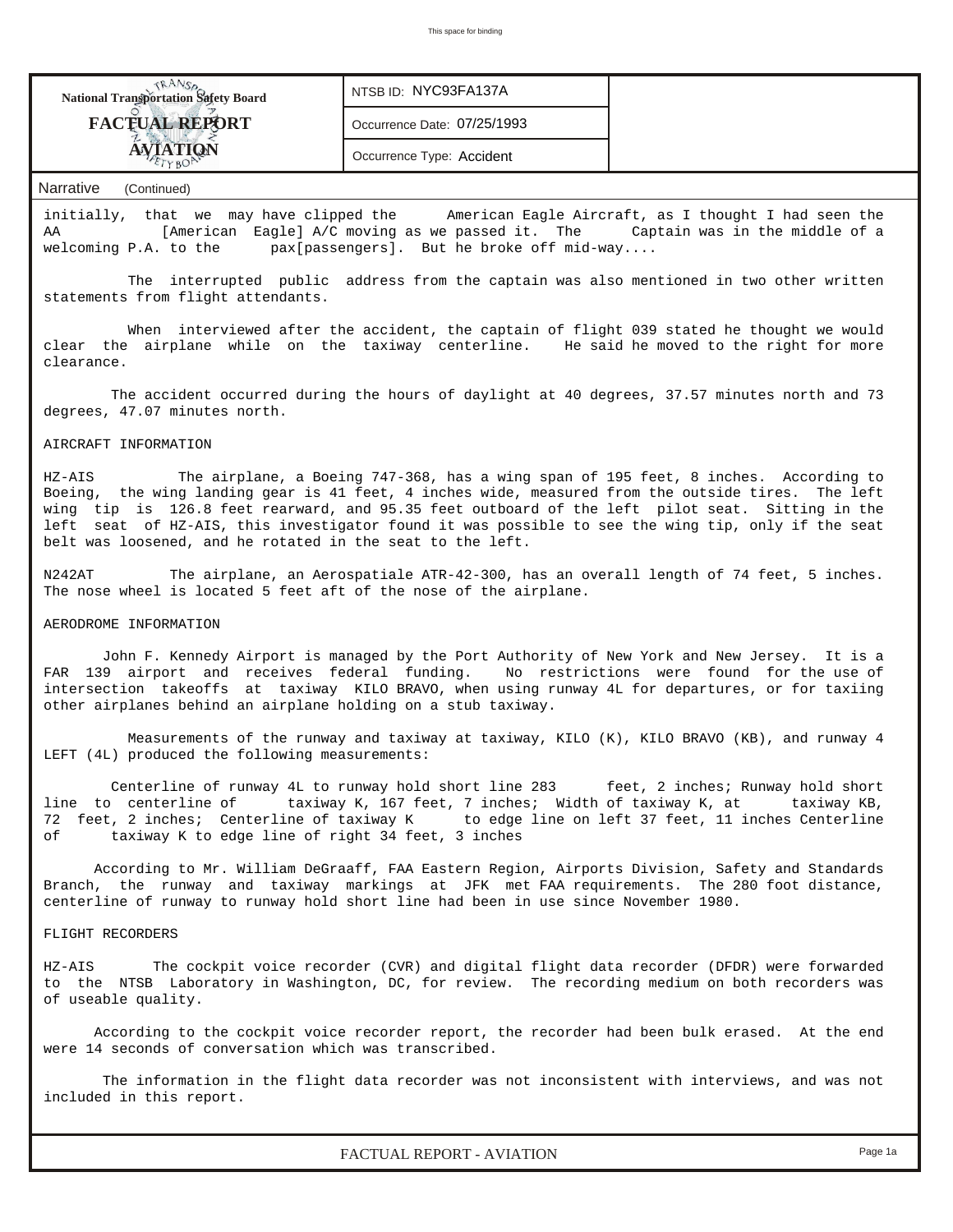| <b>National Transportation Safety Board</b> | NTSB ID: NYC93FA137A        |  |
|---------------------------------------------|-----------------------------|--|
| <b>FACTUAL REPORT</b>                       | Occurrence Date: 07/25/1993 |  |
|                                             | Occurrence Type: Accident   |  |

### *Narrative (Continued)*

initially, that we may have clipped the American Eagle Aircraft, as I thought I had seen the AA [American Eagle] A/C moving as we passed it. The Captain was in the middle of a welcoming P.A. to the pax[passengers]. But he broke off mid-way....

 The interrupted public address from the captain was also mentioned in two other written statements from flight attendants.

 When interviewed after the accident, the captain of flight 039 stated he thought we would clear the airplane while on the taxiway centerline. He said he moved to the right for more clearance.

 The accident occurred during the hours of daylight at 40 degrees, 37.57 minutes north and 73 degrees, 47.07 minutes north.

## AIRCRAFT INFORMATION

HZ-AIS The airplane, a Boeing 747-368, has a wing span of 195 feet, 8 inches. According to Boeing, the wing landing gear is 41 feet, 4 inches wide, measured from the outside tires. The left wing tip is 126.8 feet rearward, and 95.35 feet outboard of the left pilot seat. Sitting in the left seat of HZ-AIS, this investigator found it was possible to see the wing tip, only if the seat belt was loosened, and he rotated in the seat to the left.

N242AT The airplane, an Aerospatiale ATR-42-300, has an overall length of 74 feet, 5 inches. The nose wheel is located 5 feet aft of the nose of the airplane.

#### AERODROME INFORMATION

 John F. Kennedy Airport is managed by the Port Authority of New York and New Jersey. It is a FAR 139 airport and receives federal funding. No restrictions were found for the use of intersection takeoffs at taxiway KILO BRAVO, when using runway 4L for departures, or for taxiing other airplanes behind an airplane holding on a stub taxiway.

Measurements of the runway and taxiway at taxiway, KILO (K), KILO BRAVO (KB), and runway 4 LEFT (4L) produced the following measurements:

Centerline of runway 4L to runway hold short line 283 feet, 2 inches; Runway hold short line to centerline of taxiway K, 167 feet, 7 inches; Width of taxiway K, at taxiway KB, 72 feet, 2 inches; Centerline of taxiway K to edge line on left 37 feet, 11 inches Centerline of taxiway K to edge line of right 34 feet, 3 inches

 According to Mr. William DeGraaff, FAA Eastern Region, Airports Division, Safety and Standards Branch, the runway and taxiway markings at JFK met FAA requirements. The 280 foot distance, centerline of runway to runway hold short line had been in use since November 1980.

### FLIGHT RECORDERS

HZ-AIS The cockpit voice recorder (CVR) and digital flight data recorder (DFDR) were forwarded to the NTSB Laboratory in Washington, DC, for review. The recording medium on both recorders was of useable quality.

 According to the cockpit voice recorder report, the recorder had been bulk erased. At the end were 14 seconds of conversation which was transcribed.

 The information in the flight data recorder was not inconsistent with interviews, and was not included in this report.

*FACTUAL REPORT - AVIATION Page 1a*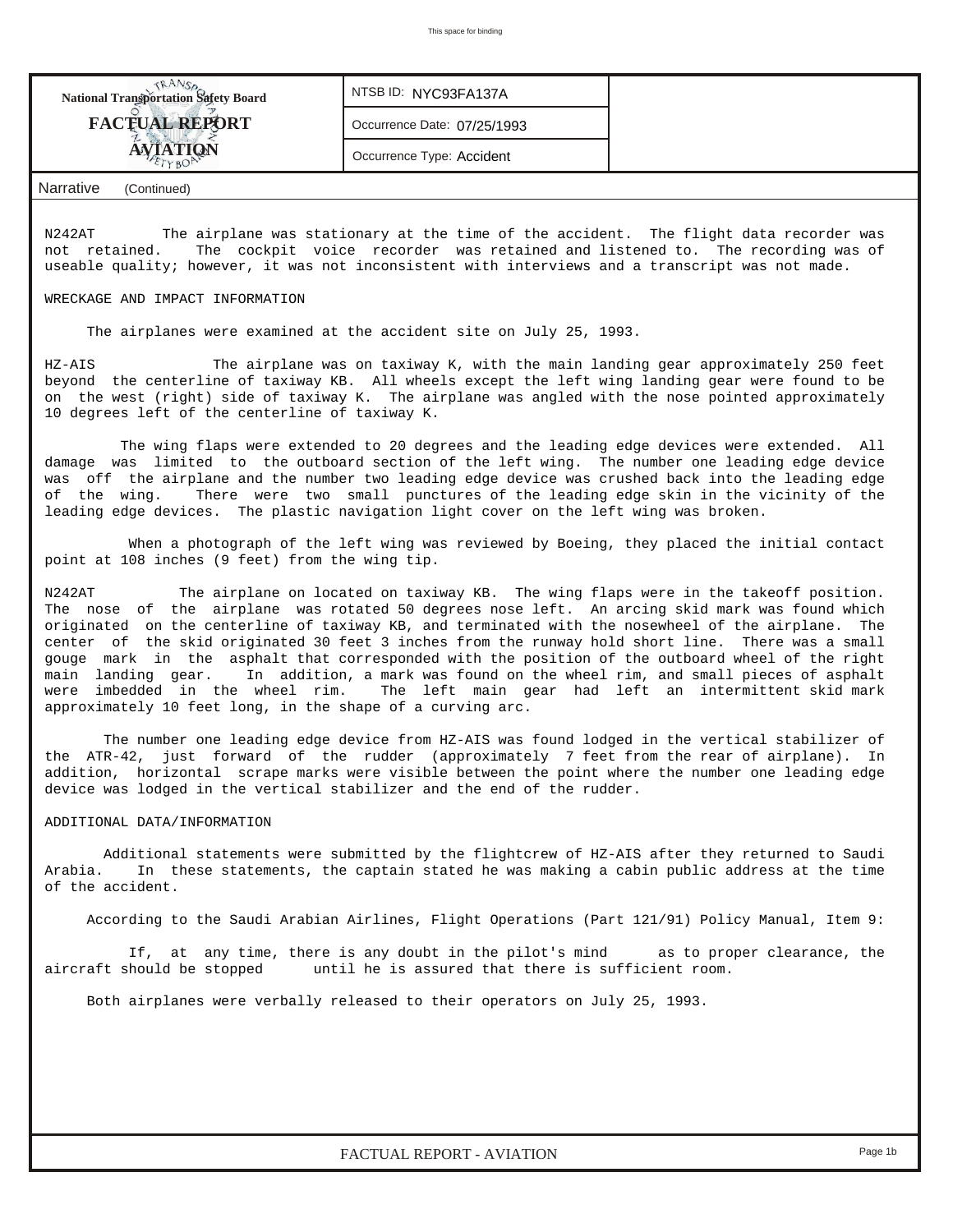| <b>National Transportation Safety Board</b> | NTSB ID: NYC93FA137A        |  |
|---------------------------------------------|-----------------------------|--|
| <b>FACTUAL REPORT</b>                       | Occurrence Date: 07/25/1993 |  |
|                                             | Occurrence Type: Accident   |  |
|                                             |                             |  |

*Narrative (Continued)*

N242AT The airplane was stationary at the time of the accident. The flight data recorder was not retained. The cockpit voice recorder was retained and listened to. The recording was of useable quality; however, it was not inconsistent with interviews and a transcript was not made.

#### WRECKAGE AND IMPACT INFORMATION

The airplanes were examined at the accident site on July 25, 1993.

HZ-AIS The airplane was on taxiway K, with the main landing gear approximately 250 feet beyond the centerline of taxiway KB. All wheels except the left wing landing gear were found to be on the west (right) side of taxiway K. The airplane was angled with the nose pointed approximately 10 degrees left of the centerline of taxiway K.

 The wing flaps were extended to 20 degrees and the leading edge devices were extended. All damage was limited to the outboard section of the left wing. The number one leading edge device was off the airplane and the number two leading edge device was crushed back into the leading edge of the wing. There were two small punctures of the leading edge skin in the vicinity of the leading edge devices. The plastic navigation light cover on the left wing was broken.

 When a photograph of the left wing was reviewed by Boeing, they placed the initial contact point at 108 inches (9 feet) from the wing tip.

N242AT The airplane on located on taxiway KB. The wing flaps were in the takeoff position. The nose of the airplane was rotated 50 degrees nose left. An arcing skid mark was found which originated on the centerline of taxiway KB, and terminated with the nosewheel of the airplane. The center of the skid originated 30 feet 3 inches from the runway hold short line. There was a small gouge mark in the asphalt that corresponded with the position of the outboard wheel of the right<br>main landing gear. In addition, a mark was found on the wheel rim, and small pieces of asphalt In addition, a mark was found on the wheel rim, and small pieces of asphalt were imbedded in the wheel rim. The left main gear had left an intermittent skid mark approximately 10 feet long, in the shape of a curving arc.

 The number one leading edge device from HZ-AIS was found lodged in the vertical stabilizer of the ATR-42, just forward of the rudder (approximately 7 feet from the rear of airplane). In addition, horizontal scrape marks were visible between the point where the number one leading edge device was lodged in the vertical stabilizer and the end of the rudder.

#### ADDITIONAL DATA/INFORMATION

 Additional statements were submitted by the flightcrew of HZ-AIS after they returned to Saudi Arabia. In these statements, the captain stated he was making a cabin public address at the time of the accident.

According to the Saudi Arabian Airlines, Flight Operations (Part 121/91) Policy Manual, Item 9:

 If, at any time, there is any doubt in the pilot's mind as to proper clearance, the aircraft should be stopped until he is assured that there is sufficient room.

Both airplanes were verbally released to their operators on July 25, 1993.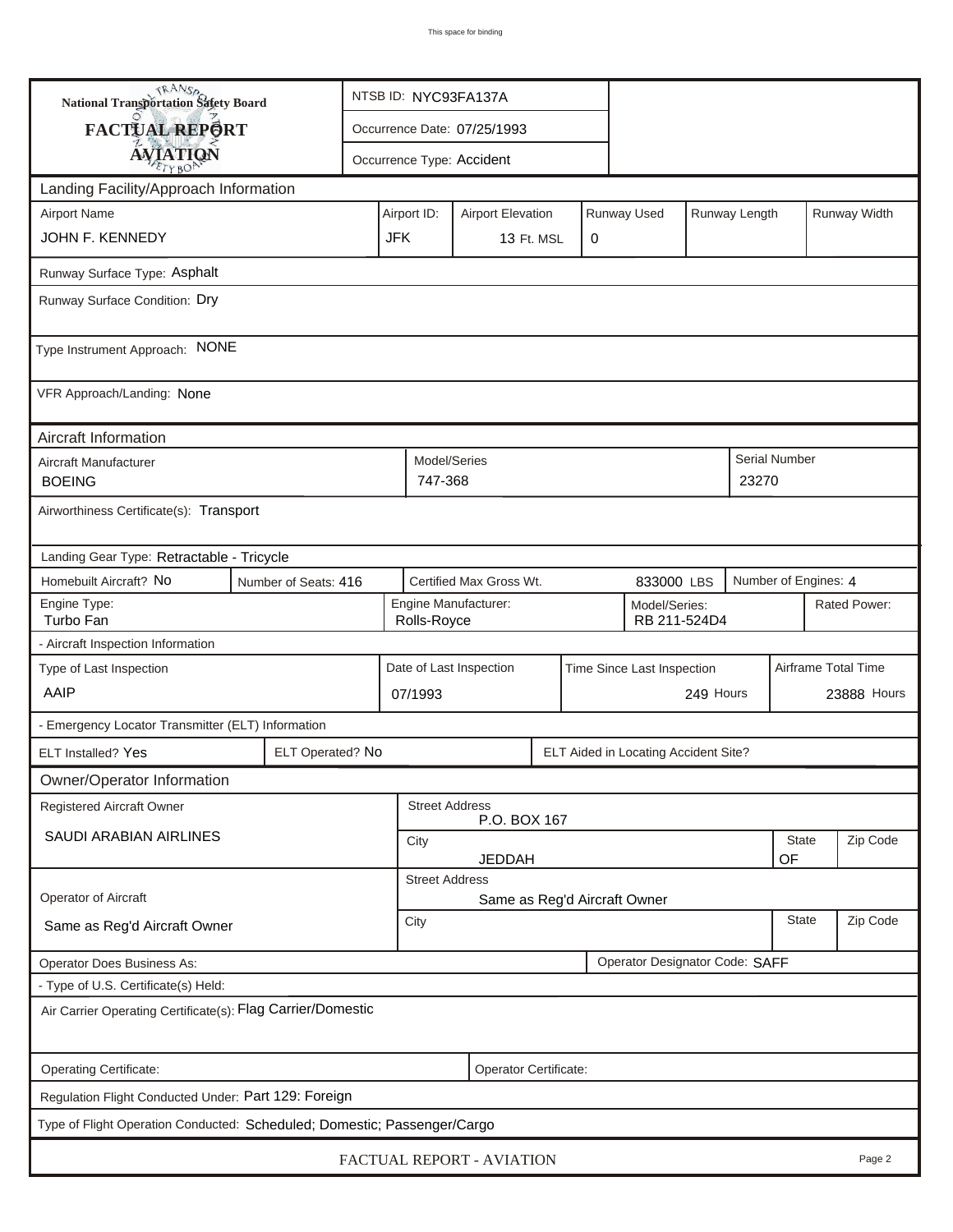| <b>National Transportation Safety Board</b>                                             |                                                                         | NTSB ID: NYC93FA137A                                     |                                                       |                                     |                                       |  |   |                      |                               |              |                     |              |
|-----------------------------------------------------------------------------------------|-------------------------------------------------------------------------|----------------------------------------------------------|-------------------------------------------------------|-------------------------------------|---------------------------------------|--|---|----------------------|-------------------------------|--------------|---------------------|--------------|
| FACTUAL REPORT                                                                          |                                                                         | Occurrence Date: 07/25/1993                              |                                                       |                                     |                                       |  |   |                      |                               |              |                     |              |
| <b>AVIATION</b>                                                                         |                                                                         |                                                          |                                                       |                                     | Occurrence Type: Accident             |  |   |                      |                               |              |                     |              |
| Landing Facility/Approach Information                                                   |                                                                         |                                                          |                                                       |                                     |                                       |  |   |                      |                               |              |                     |              |
| <b>Airport Name</b>                                                                     | Runway Used<br>Airport ID:<br><b>Airport Elevation</b><br>Runway Length |                                                          |                                                       |                                     |                                       |  |   |                      |                               | Runway Width |                     |              |
| JOHN F. KENNEDY                                                                         |                                                                         |                                                          | <b>JFK</b>                                            |                                     | 13 Ft. MSL                            |  | 0 |                      |                               |              |                     |              |
| Runway Surface Type: Asphalt                                                            |                                                                         |                                                          |                                                       |                                     |                                       |  |   |                      |                               |              |                     |              |
| Runway Surface Condition: Dry                                                           |                                                                         |                                                          |                                                       |                                     |                                       |  |   |                      |                               |              |                     |              |
| Type Instrument Approach: NONE                                                          |                                                                         |                                                          |                                                       |                                     |                                       |  |   |                      |                               |              |                     |              |
| VFR Approach/Landing: None                                                              |                                                                         |                                                          |                                                       |                                     |                                       |  |   |                      |                               |              |                     |              |
| Aircraft Information                                                                    |                                                                         |                                                          |                                                       |                                     |                                       |  |   |                      |                               |              |                     |              |
| Aircraft Manufacturer<br><b>BOEING</b>                                                  |                                                                         |                                                          |                                                       | Model/Series<br>747-368             |                                       |  |   |                      |                               | 23270        | Serial Number       |              |
| Airworthiness Certificate(s): Transport                                                 |                                                                         |                                                          |                                                       |                                     |                                       |  |   |                      |                               |              |                     |              |
| Landing Gear Type: Retractable - Tricycle                                               |                                                                         |                                                          |                                                       |                                     |                                       |  |   |                      |                               |              |                     |              |
| Certified Max Gross Wt.<br>Homebuilt Aircraft? No<br>Number of Seats: 416<br>833000 LBS |                                                                         |                                                          |                                                       |                                     |                                       |  |   | Number of Engines: 4 |                               |              |                     |              |
| Engine Type:<br>Turbo Fan                                                               |                                                                         |                                                          |                                                       | Engine Manufacturer:<br>Rolls-Royce |                                       |  |   |                      | Model/Series:<br>RB 211-524D4 |              |                     | Rated Power: |
| - Aircraft Inspection Information                                                       |                                                                         |                                                          |                                                       |                                     |                                       |  |   |                      |                               |              |                     |              |
| Type of Last Inspection                                                                 |                                                                         |                                                          | Date of Last Inspection<br>Time Since Last Inspection |                                     |                                       |  |   |                      |                               |              | Airframe Total Time |              |
| AAIP                                                                                    |                                                                         |                                                          | 07/1993                                               |                                     |                                       |  |   |                      | 249 Hours                     |              |                     | 23888 Hours  |
| - Emergency Locator Transmitter (ELT) Information                                       |                                                                         |                                                          |                                                       |                                     |                                       |  |   |                      |                               |              |                     |              |
| ELT Installed? Yes                                                                      |                                                                         | ELT Operated? No<br>ELT Aided in Locating Accident Site? |                                                       |                                     |                                       |  |   |                      |                               |              |                     |              |
| Owner/Operator Information                                                              |                                                                         |                                                          |                                                       |                                     |                                       |  |   |                      |                               |              |                     |              |
| Registered Aircraft Owner                                                               |                                                                         |                                                          |                                                       |                                     | <b>Street Address</b><br>P.O. BOX 167 |  |   |                      |                               |              |                     |              |
| SAUDI ARABIAN AIRLINES                                                                  |                                                                         |                                                          |                                                       | City<br><b>JEDDAH</b>               |                                       |  |   |                      |                               |              | State<br>OF         | Zip Code     |
|                                                                                         |                                                                         |                                                          |                                                       | <b>Street Address</b>               |                                       |  |   |                      |                               |              |                     |              |
| Operator of Aircraft                                                                    |                                                                         |                                                          |                                                       |                                     | Same as Reg'd Aircraft Owner          |  |   |                      |                               |              |                     |              |
| Same as Reg'd Aircraft Owner                                                            |                                                                         |                                                          |                                                       |                                     | <b>State</b><br>City                  |  |   |                      |                               |              |                     | Zip Code     |
| Operator Designator Code: SAFF<br>Operator Does Business As:                            |                                                                         |                                                          |                                                       |                                     |                                       |  |   |                      |                               |              |                     |              |
| - Type of U.S. Certificate(s) Held:                                                     |                                                                         |                                                          |                                                       |                                     |                                       |  |   |                      |                               |              |                     |              |
| Air Carrier Operating Certificate(s): Flag Carrier/Domestic                             |                                                                         |                                                          |                                                       |                                     |                                       |  |   |                      |                               |              |                     |              |
| Operating Certificate:<br>Operator Certificate:                                         |                                                                         |                                                          |                                                       |                                     |                                       |  |   |                      |                               |              |                     |              |
| Regulation Flight Conducted Under: Part 129: Foreign                                    |                                                                         |                                                          |                                                       |                                     |                                       |  |   |                      |                               |              |                     |              |
| Type of Flight Operation Conducted: Scheduled; Domestic; Passenger/Cargo                |                                                                         |                                                          |                                                       |                                     |                                       |  |   |                      |                               |              |                     |              |
| FACTUAL REPORT - AVIATION<br>Page 2                                                     |                                                                         |                                                          |                                                       |                                     |                                       |  |   |                      |                               |              |                     |              |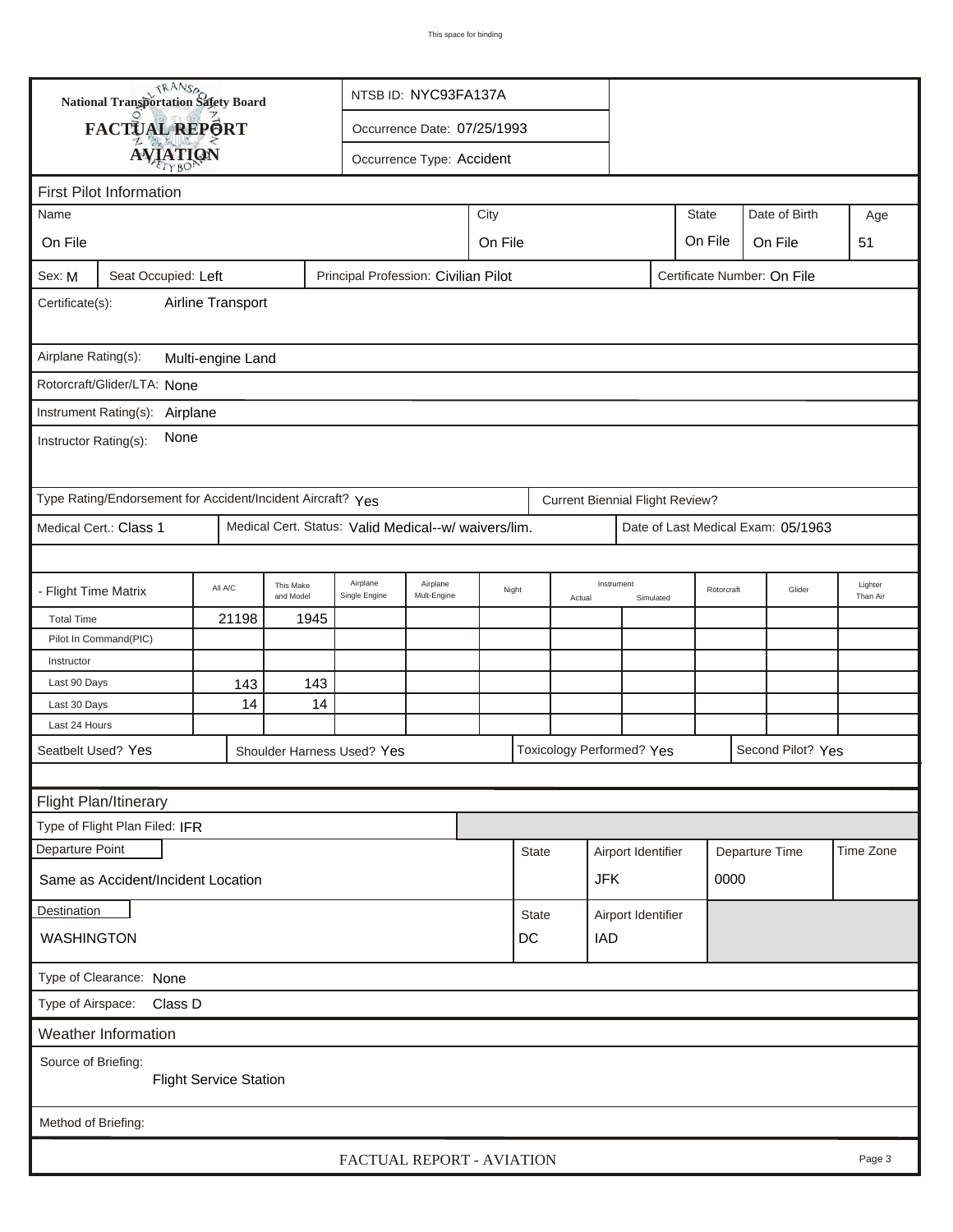|                                                                                                      | <b>National Transportation Safety Board</b>                 | NTSB ID: NYC93FA137A                |                        |                                                      |                             |  |                 |            |                                        |           |            |      |                                    |                     |
|------------------------------------------------------------------------------------------------------|-------------------------------------------------------------|-------------------------------------|------------------------|------------------------------------------------------|-----------------------------|--|-----------------|------------|----------------------------------------|-----------|------------|------|------------------------------------|---------------------|
|                                                                                                      | FACTUAL REPORT                                              |                                     |                        |                                                      | Occurrence Date: 07/25/1993 |  |                 |            |                                        |           |            |      |                                    |                     |
|                                                                                                      | <b>AVIATION</b>                                             |                                     |                        |                                                      | Occurrence Type: Accident   |  |                 |            |                                        |           |            |      |                                    |                     |
|                                                                                                      |                                                             |                                     |                        |                                                      |                             |  |                 |            |                                        |           |            |      |                                    |                     |
| <b>First Pilot Information</b><br><b>State</b><br>Date of Birth<br>City<br>Name<br>Age               |                                                             |                                     |                        |                                                      |                             |  |                 |            |                                        |           |            |      |                                    |                     |
|                                                                                                      |                                                             |                                     |                        |                                                      |                             |  |                 |            |                                        |           |            |      |                                    |                     |
| On File                                                                                              |                                                             | On File<br>On File<br>On File<br>51 |                        |                                                      |                             |  |                 |            |                                        |           |            |      |                                    |                     |
| Principal Profession: Civilian Pilot<br>Certificate Number: On File<br>Seat Occupied: Left<br>Sex: M |                                                             |                                     |                        |                                                      |                             |  |                 |            |                                        |           |            |      |                                    |                     |
| Airline Transport<br>Certificate(s):                                                                 |                                                             |                                     |                        |                                                      |                             |  |                 |            |                                        |           |            |      |                                    |                     |
| Airplane Rating(s):<br>Multi-engine Land                                                             |                                                             |                                     |                        |                                                      |                             |  |                 |            |                                        |           |            |      |                                    |                     |
|                                                                                                      | Rotorcraft/Glider/LTA: None                                 |                                     |                        |                                                      |                             |  |                 |            |                                        |           |            |      |                                    |                     |
|                                                                                                      | Instrument Rating(s): Airplane                              |                                     |                        |                                                      |                             |  |                 |            |                                        |           |            |      |                                    |                     |
| None<br>Instructor Rating(s):                                                                        |                                                             |                                     |                        |                                                      |                             |  |                 |            |                                        |           |            |      |                                    |                     |
|                                                                                                      | Type Rating/Endorsement for Accident/Incident Aircraft? Yes |                                     |                        |                                                      |                             |  |                 |            | <b>Current Biennial Flight Review?</b> |           |            |      |                                    |                     |
|                                                                                                      | Medical Cert.: Class 1                                      |                                     |                        | Medical Cert. Status: Valid Medical--w/ waivers/lim. |                             |  |                 |            |                                        |           |            |      | Date of Last Medical Exam: 05/1963 |                     |
|                                                                                                      |                                                             |                                     |                        |                                                      |                             |  |                 |            |                                        |           |            |      |                                    |                     |
| - Flight Time Matrix                                                                                 |                                                             | All A/C                             | This Make<br>and Model | Airplane<br>Single Engine                            | Airplane<br>Mult-Engine     |  | Night<br>Actual |            | Instrument                             | Simulated | Rotorcraft |      | Glider                             | Lighter<br>Than Air |
| <b>Total Time</b>                                                                                    |                                                             | 21198                               | 1945                   |                                                      |                             |  |                 |            |                                        |           |            |      |                                    |                     |
|                                                                                                      | Pilot In Command(PIC)                                       |                                     |                        |                                                      |                             |  |                 |            |                                        |           |            |      |                                    |                     |
| Instructor                                                                                           |                                                             |                                     |                        |                                                      |                             |  |                 |            |                                        |           |            |      |                                    |                     |
| Last 90 Days                                                                                         |                                                             | 143                                 | 143                    |                                                      |                             |  |                 |            |                                        |           |            |      |                                    |                     |
| Last 30 Days                                                                                         |                                                             | 14                                  | 14                     |                                                      |                             |  |                 |            |                                        |           |            |      |                                    |                     |
| Last 24 Hours                                                                                        |                                                             |                                     |                        |                                                      |                             |  |                 |            |                                        |           |            |      |                                    |                     |
|                                                                                                      | Seatbelt Used? Yes                                          |                                     |                        | Shoulder Harness Used? Yes                           |                             |  |                 |            | Toxicology Performed? Yes              |           |            |      | Second Pilot? Yes                  |                     |
|                                                                                                      |                                                             |                                     |                        |                                                      |                             |  |                 |            |                                        |           |            |      |                                    |                     |
|                                                                                                      | Flight Plan/Itinerary                                       |                                     |                        |                                                      |                             |  |                 |            |                                        |           |            |      |                                    |                     |
|                                                                                                      | Type of Flight Plan Filed: IFR                              |                                     |                        |                                                      |                             |  |                 |            |                                        |           |            |      |                                    |                     |
| Departure Point                                                                                      |                                                             |                                     |                        |                                                      |                             |  | <b>State</b>    |            | Airport Identifier                     |           |            |      | Departure Time                     | Time Zone           |
| Same as Accident/Incident Location                                                                   |                                                             |                                     |                        |                                                      |                             |  |                 | <b>JFK</b> |                                        |           |            | 0000 |                                    |                     |
| Destination                                                                                          |                                                             |                                     |                        |                                                      |                             |  | <b>State</b>    |            | Airport Identifier                     |           |            |      |                                    |                     |
| <b>WASHINGTON</b><br>DC<br><b>IAD</b>                                                                |                                                             |                                     |                        |                                                      |                             |  |                 |            |                                        |           |            |      |                                    |                     |
| Type of Clearance: None                                                                              |                                                             |                                     |                        |                                                      |                             |  |                 |            |                                        |           |            |      |                                    |                     |
| Type of Airspace: Class D                                                                            |                                                             |                                     |                        |                                                      |                             |  |                 |            |                                        |           |            |      |                                    |                     |
|                                                                                                      | Weather Information                                         |                                     |                        |                                                      |                             |  |                 |            |                                        |           |            |      |                                    |                     |
| Source of Briefing:<br><b>Flight Service Station</b>                                                 |                                                             |                                     |                        |                                                      |                             |  |                 |            |                                        |           |            |      |                                    |                     |
| Method of Briefing:                                                                                  |                                                             |                                     |                        |                                                      |                             |  |                 |            |                                        |           |            |      |                                    |                     |
| FACTUAL REPORT - AVIATION<br>Page 3                                                                  |                                                             |                                     |                        |                                                      |                             |  |                 |            |                                        |           |            |      |                                    |                     |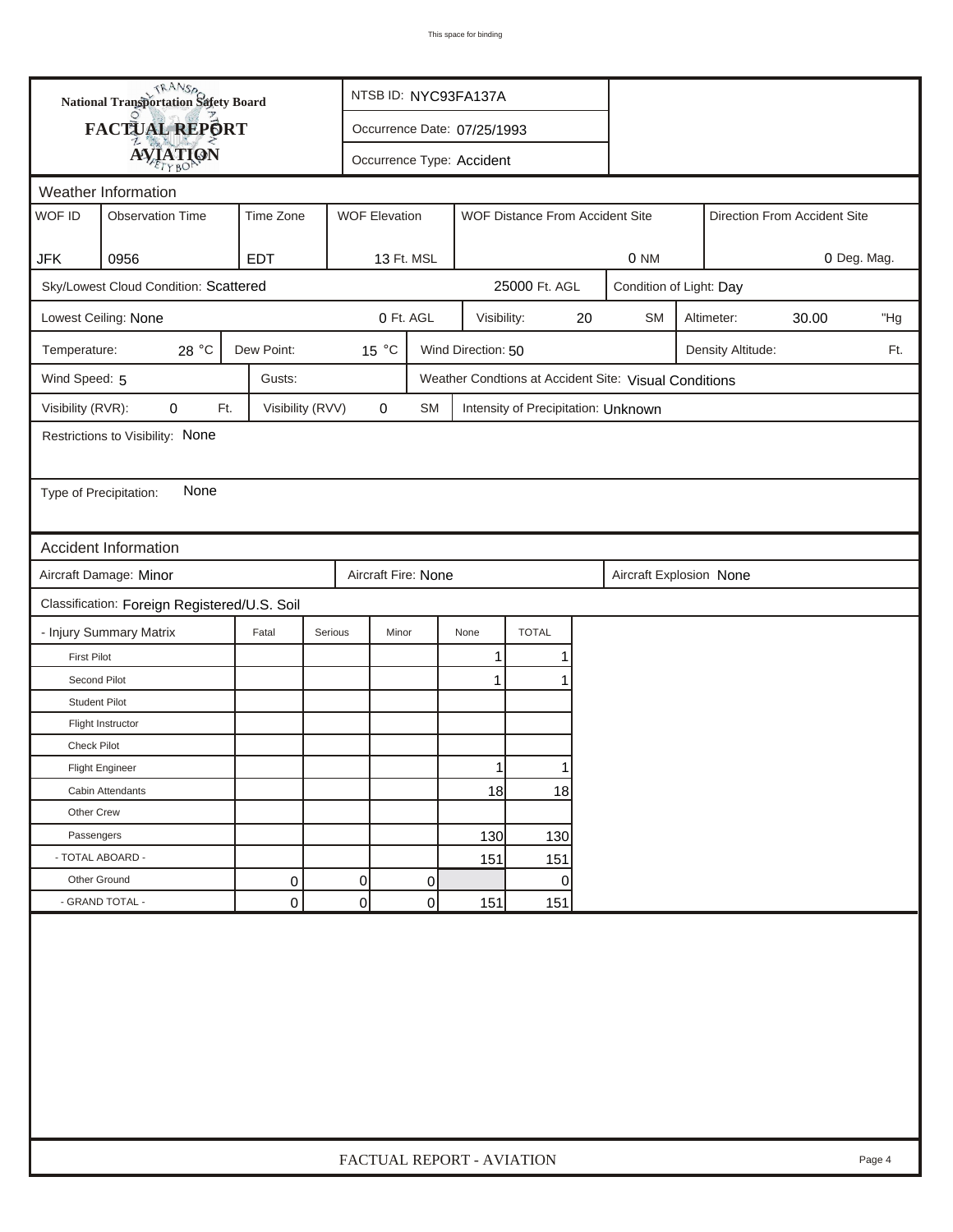|                        | <b>National Transportation Safety Board</b>  |                             | NTSB ID: NYC93FA137A |                      |                           |                                                       |    |                         |  |                   |                              |        |
|------------------------|----------------------------------------------|-----------------------------|----------------------|----------------------|---------------------------|-------------------------------------------------------|----|-------------------------|--|-------------------|------------------------------|--------|
|                        | FACTUAL REPORT                               | Occurrence Date: 07/25/1993 |                      |                      |                           |                                                       |    |                         |  |                   |                              |        |
|                        | <b>AVIATION</b>                              |                             |                      |                      | Occurrence Type: Accident |                                                       |    |                         |  |                   |                              |        |
|                        | Weather Information                          |                             |                      |                      |                           |                                                       |    |                         |  |                   |                              |        |
| WOF ID                 | <b>Observation Time</b>                      | Time Zone                   |                      | <b>WOF Elevation</b> |                           | WOF Distance From Accident Site                       |    |                         |  |                   | Direction From Accident Site |        |
|                        |                                              |                             |                      |                      |                           |                                                       |    |                         |  |                   |                              |        |
| <b>JFK</b>             | 0956                                         | <b>EDT</b>                  |                      | 13 Ft. MSL           |                           |                                                       |    | 0 <sub>NM</sub>         |  |                   | 0 Deg. Mag.                  |        |
|                        | Sky/Lowest Cloud Condition: Scattered        |                             |                      |                      |                           | 25000 Ft. AGL                                         |    | Condition of Light: Day |  |                   |                              |        |
|                        | Lowest Ceiling: None                         |                             |                      | 0 Ft. AGL            |                           | Visibility:                                           | 20 | <b>SM</b>               |  | Altimeter:        | 30.00                        | "Hg    |
| Temperature:           | 28 °C                                        | Dew Point:                  |                      | 15 °C                | Wind Direction: 50        |                                                       |    |                         |  | Density Altitude: |                              | Ft.    |
| Wind Speed: 5          |                                              | Gusts:                      |                      |                      |                           | Weather Condtions at Accident Site: Visual Conditions |    |                         |  |                   |                              |        |
| Visibility (RVR):      | $\mathbf 0$<br>Ft.                           | Visibility (RVV)            |                      | 0<br>SM              |                           | Intensity of Precipitation: Unknown                   |    |                         |  |                   |                              |        |
|                        | Restrictions to Visibility: None             |                             |                      |                      |                           |                                                       |    |                         |  |                   |                              |        |
|                        |                                              |                             |                      |                      |                           |                                                       |    |                         |  |                   |                              |        |
| Type of Precipitation: | None                                         |                             |                      |                      |                           |                                                       |    |                         |  |                   |                              |        |
|                        |                                              |                             |                      |                      |                           |                                                       |    |                         |  |                   |                              |        |
|                        | Accident Information                         |                             |                      |                      |                           |                                                       |    |                         |  |                   |                              |        |
|                        | Aircraft Damage: Minor                       |                             |                      | Aircraft Fire: None  |                           |                                                       |    | Aircraft Explosion None |  |                   |                              |        |
|                        | Classification: Foreign Registered/U.S. Soil |                             |                      |                      |                           |                                                       |    |                         |  |                   |                              |        |
|                        | - Injury Summary Matrix                      | Fatal                       | Serious              | Minor                | None                      | <b>TOTAL</b>                                          |    |                         |  |                   |                              |        |
| <b>First Pilot</b>     |                                              |                             |                      |                      | $\mathbf{1}$              | 1                                                     |    |                         |  |                   |                              |        |
| Second Pilot           |                                              |                             |                      |                      | 1                         |                                                       |    |                         |  |                   |                              |        |
| <b>Student Pilot</b>   |                                              |                             |                      |                      |                           |                                                       |    |                         |  |                   |                              |        |
|                        | Flight Instructor                            |                             |                      |                      |                           |                                                       |    |                         |  |                   |                              |        |
| <b>Check Pilot</b>     |                                              |                             |                      |                      |                           |                                                       |    |                         |  |                   |                              |        |
|                        | <b>Flight Engineer</b>                       |                             |                      |                      |                           | 11                                                    |    |                         |  |                   |                              |        |
|                        | Cabin Attendants                             |                             |                      |                      | 18                        | 18                                                    |    |                         |  |                   |                              |        |
| Other Crew             |                                              |                             |                      |                      |                           |                                                       |    |                         |  |                   |                              |        |
| Passengers             |                                              |                             |                      |                      | 130                       | 130                                                   |    |                         |  |                   |                              |        |
|                        | - TOTAL ABOARD -                             |                             |                      |                      | 151                       | 151                                                   |    |                         |  |                   |                              |        |
| Other Ground           |                                              | 0                           | $\Omega$             | 0                    |                           | $\overline{0}$                                        |    |                         |  |                   |                              |        |
|                        | - GRAND TOTAL -                              | 0                           | 0                    | 0                    | 151                       | 151                                                   |    |                         |  |                   |                              |        |
|                        |                                              |                             |                      |                      |                           |                                                       |    |                         |  |                   |                              |        |
|                        |                                              |                             |                      |                      | FACTUAL REPORT - AVIATION |                                                       |    |                         |  |                   |                              | Page 4 |